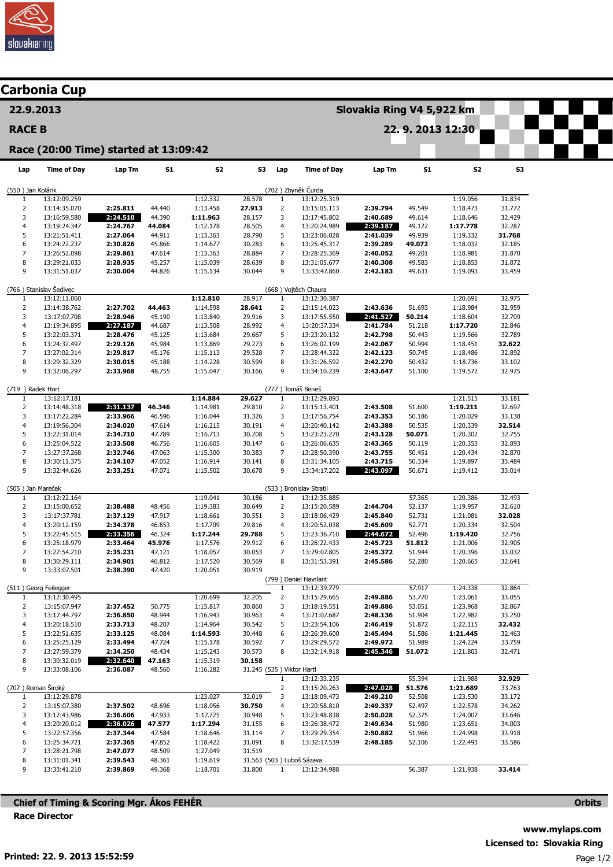

|                                                                                                             | Carbonia Cup                 |                      |                  |                      |                           |                                |                              |                      |                  |                      |                  |  |  |
|-------------------------------------------------------------------------------------------------------------|------------------------------|----------------------|------------------|----------------------|---------------------------|--------------------------------|------------------------------|----------------------|------------------|----------------------|------------------|--|--|
| 22.9.2013                                                                                                   |                              |                      |                  |                      | Slovakia Ring V4 5,922 km |                                |                              |                      |                  |                      |                  |  |  |
| <b>RACE B</b>                                                                                               |                              |                      |                  |                      | 22.9.2013 12:30           |                                |                              |                      |                  |                      |                  |  |  |
| Race (20:00 Time) started at 13:09:42                                                                       |                              |                      |                  |                      |                           |                                |                              |                      |                  |                      |                  |  |  |
| Lap                                                                                                         | <b>Time of Day</b>           | Lap Tm               | <b>S1</b>        | S <sub>2</sub>       | S3                        | Lap                            | <b>Time of Day</b>           | Lap Tm               | S1               | S2                   | S3               |  |  |
| (702) Zbyněk Čurda<br>(550) Jan Kolárik                                                                     |                              |                      |                  |                      |                           |                                |                              |                      |                  |                      |                  |  |  |
| 1                                                                                                           | 13:12:09.259                 |                      |                  | 1:12.332             | 28.578                    | $\mathbf{1}$                   | 13:12:25.319                 |                      |                  | 1:19.056             | 31.834           |  |  |
| $\overline{2}$<br>3                                                                                         | 13:14:35.070                 | 2:25.811             | 44.440           | 1:13.458             | 27.913<br>28.157          | $\overline{2}$<br>3            | 13:15:05.113                 | 2:39.794<br>2:40.689 | 49.549           | 1:18.473             | 31.772<br>32.429 |  |  |
| $\overline{4}$                                                                                              | 13:16:59.580<br>13:19:24.347 | 2:24.510<br>2:24.767 | 44.390<br>44.084 | 1:11.963<br>1:12.178 | 28.505                    | 4                              | 13:17:45.802<br>13:20:24.989 | 2:39.187             | 49.614<br>49.122 | 1:18.646<br>1:17.778 | 32.287           |  |  |
| 5                                                                                                           | 13:21:51.411                 | 2:27.064             | 44.911           | 1:13.363             | 28.790                    | 5                              | 13:23:06.028                 | 2:41.039             | 49.939           | 1:19.332             | 31.768           |  |  |
| 6                                                                                                           | 13:24:22.237                 | 2:30.826             | 45.866           | 1:14.677             | 30.283                    | 6                              | 13:25:45.317                 | 2:39.289             | 49.072           | 1:18.032             | 32.185           |  |  |
| 7                                                                                                           | 13:26:52.098                 | 2:29.861             | 47.614           | 1:13.363             | 28.884                    | 7                              | 13:28:25.369                 | 2:40.052             | 49.201           | 1:18.981             | 31.870           |  |  |
| $\bf 8$                                                                                                     | 13:29:21.033                 | 2:28.935             | 45.257           | 1:15.039             | 28.639                    | 8                              | 13:31:05.677                 | 2:40.308             | 49.583           | 1:18.853             | 31.872           |  |  |
| 9                                                                                                           | 13:31:51.037                 | 2:30.004             | 44.826           | 1:15.134             | 30.044                    | 9                              | 13:33:47.860                 | 2:42.183             | 49.631           | 1:19.093             | 33.459           |  |  |
| (766) Stanislav Šedivec<br>(668) Vojtěch Chaura<br>13:12:11.060<br>1:12.810<br>1:20.691<br>32.975<br>28.917 |                              |                      |                  |                      |                           |                                |                              |                      |                  |                      |                  |  |  |
| $\mathbf{1}$<br>$\overline{2}$                                                                              | 13:14:38.762                 | 2:27.702             | 44.463           | 1:14.598             | 28.641                    | $\mathbf{1}$<br>2              | 13:12:30.387<br>13:15:14.023 | 2:43.636             | 51.693           | 1:18.984             | 32.959           |  |  |
| 3                                                                                                           | 13:17:07.708                 | 2:28.946             | 45.190           | 1:13.840             | 29.916                    | 3                              | 13:17:55.550                 | 2:41.527             | 50.214           | 1:18.604             | 32.709           |  |  |
| $\overline{4}$                                                                                              | 13:19:34.895                 | 2:27.187             | 44.687           | 1:13.508             | 28.992                    | 4                              | 13:20:37.334                 | 2:41.784             | 51.218           | 1:17.720             | 32.846           |  |  |
| 5                                                                                                           | 13:22:03.371                 | 2:28.476             | 45.125           | 1:13.684             | 29.667                    | 5                              | 13:23:20.132                 | 2:42.798             | 50.443           | 1:19.566             | 32.789           |  |  |
| 6                                                                                                           | 13:24:32.497                 | 2:29.126             | 45.984           | 1:13.869             | 29.273                    | 6                              | 13:26:02.199                 | 2:42.067             | 50.994           | 1:18.451             | 32.622           |  |  |
| $\overline{7}$                                                                                              | 13:27:02.314                 | 2:29.817             | 45.176           | 1:15.113             | 29.528                    | 7                              | 13:28:44.322                 | 2:42.123             | 50.745           | 1:18.486             | 32.892           |  |  |
| 8                                                                                                           | 13:29:32.329                 | 2:30.015             | 45.188           | 1:14.228             | 30.599                    | 8                              | 13:31:26.592                 | 2:42.270             | 50.432           | 1:18.736             | 33.102           |  |  |
| 9                                                                                                           | 13:32:06.297                 | 2:33.968             | 48.755           | 1:15.047             | 30.166                    | 9                              | 13:34:10.239                 | 2:43.647             | 51.100           | 1:19.572             | 32.975           |  |  |
| (719 ) Radek Hort                                                                                           |                              |                      |                  |                      |                           |                                | (777) Tomáš Beneš            |                      |                  | 1:21.515             |                  |  |  |
| 1<br>$\overline{2}$                                                                                         | 13:12:17.181<br>13:14:48.318 | 2:31.137             | 46.346           | 1:14.884<br>1:14.981 | 29.627<br>29.810          | $\mathbf{1}$<br>2              | 13:12:29.893<br>13:15:13.401 | 2:43.508             | 51.600           | 1:19.211             | 33.181<br>32.697 |  |  |
| 3                                                                                                           | 13:17:22.284                 | 2:33.966             | 46.596           | 1:16.044             | 31.326                    | 3                              | 13:17:56.754                 | 2:43.353             | 50.186           | 1:20.029             | 33.138           |  |  |
| $\overline{4}$                                                                                              | 13:19:56.304                 | 2:34.020             | 47.614           | 1:16.215             | 30.191                    | 4                              | 13:20:40.142                 | 2:43.388             | 50.535           | 1:20.339             | 32.514           |  |  |
| 5                                                                                                           | 13:22:31.014                 | 2:34.710             | 47.789           | 1:16.713             | 30.208                    | 5                              | 13:23:23.270                 | 2:43.128             | 50.071           | 1:20.302             | 32.755           |  |  |
| 6                                                                                                           | 13:25:04.522                 | 2:33.508             | 46.756           | 1:16.605             | 30.147                    | 6                              | 13:26:06.635                 | 2:43.365             | 50.119           | 1:20.353             | 32.893           |  |  |
| $\overline{7}$                                                                                              | 13:27:37.268                 | 2:32.746             | 47.063           | 1:15.300             | 30.383                    | $\overline{7}$                 | 13:28:50.390                 | 2:43.755             | 50.451           | 1:20.434             | 32.870           |  |  |
| 8                                                                                                           | 13:30:11.375                 | 2:34.107             | 47.052           | 1:16.914             | 30.141                    | 8                              | 13:31:34.105                 | 2:43.715             | 50.334           | 1:19.897             | 33.484           |  |  |
| 9                                                                                                           | 13:32:44.626                 | 2:33.251             | 47.071           | 1:15.502             | 30.678                    | 9                              | 13:34:17.202                 | 2:43.097             | 50.671           | 1:19.412             | 33.014           |  |  |
| (505) Jan Mareček                                                                                           |                              |                      |                  |                      |                           |                                | (533) Bronislav Stratil      |                      |                  |                      |                  |  |  |
| 1<br>$\overline{2}$                                                                                         | 13:12:22.164                 | 2:38.488             | 48.456           | 1:19.041             | 30.186<br>30.649          | $\mathbf{1}$<br>$\overline{2}$ | 13:12:35.885                 | 2:44.704             | 57.365           | 1:20.386             | 32.493<br>32.610 |  |  |
| 3                                                                                                           | 13:15:00.652<br>13:17:37.781 | 2:37.129             | 47.917           | 1:19.383<br>1:18.661 | 30.551                    | 3                              | 13:15:20.589<br>13:18:06.429 | 2:45.840             | 52.137<br>52.731 | 1:19.957<br>1:21.081 | 32.028           |  |  |
| 4                                                                                                           | 13:20:12.159                 | 2:34.378             | 46.853           | 1:17.709             | 29.816                    | 4                              | 13:20:52.038                 | 2:45.609             | 52.771           | 1:20.334             | 32.504           |  |  |
| 5                                                                                                           | 13:22:45.515                 | 2:33.356             | 46.324           | 1:17.244             | 29.788                    | 5                              | 13:23:36.710                 | 2:44.672             | 52.496           | 1:19.420             | 32.756           |  |  |
| 6                                                                                                           | 13:25:18.979                 | 2:33.464             | 45.976           | 1:17.576             | 29.912                    | 6                              | 13:26:22.433                 | 2:45.723             | 51.812           | 1:21.006             | 32.905           |  |  |
| 7                                                                                                           | 13:27:54.210                 | 2:35.231             | 47.121           | 1:18.057             | 30.053                    | $\overline{7}$                 | 13:29:07.805                 | 2:45.372             | 51.944           | 1:20.396             | 33.032           |  |  |
| 8                                                                                                           | 13:30:29.111                 | 2:34.901             | 46.812           | 1:17.520             | 30.569                    | 8                              | 13:31:53.391                 | 2:45.586             | 52.280           | 1:20.665             | 32.641           |  |  |
| 9                                                                                                           | 13:33:07.501                 | 2:38.390             | 47.420           | 1:20.051             | 30.919                    |                                | (799) Daniel Havrlant        |                      |                  |                      |                  |  |  |
|                                                                                                             | (511) Georg Feilegger        |                      |                  |                      |                           | 1                              | 13:12:39.779                 |                      | 57.917           | 1:24.338             | 32.864           |  |  |
| 1                                                                                                           | 13:12:30.495                 |                      |                  | 1:20.699             | 32.205                    | $\overline{2}$                 | 13:15:29.665                 | 2:49.886             | 53.770           | 1:23.061             | 33.055           |  |  |
| $\overline{2}$                                                                                              | 13:15:07.947                 | 2:37.452             | 50.775           | 1:15.817             | 30.860                    | 3                              | 13:18:19.551                 | 2:49.886             | 53.051           | 1:23.968             | 32.867           |  |  |
| 3                                                                                                           | 13:17:44.797                 | 2:36.850             | 48.944           | 1:16.943             | 30.963                    | 4                              | 13:21:07.687                 | 2:48.136             | 51.904           | 1:22.982             | 33.250           |  |  |
| $\overline{4}$                                                                                              | 13:20:18.510                 | 2:33.713             | 48.207           | 1:14.964             | 30.542                    | 5                              | 13:23:54.106                 | 2:46.419             | 51.872           | 1:22.115             | 32.432           |  |  |
| 5<br>6                                                                                                      | 13:22:51.635                 | 2:33.125<br>2:33.494 | 48.084<br>47.724 | 1:14.593             | 30.448                    | 6<br>7                         | 13:26:39.600<br>13:29:29.572 | 2:45.494<br>2:49.972 | 51.586<br>51.989 | 1:21.445             | 32.463           |  |  |
| $\overline{7}$                                                                                              | 13:25:25.129<br>13:27:59.379 | 2:34.250             | 48.434           | 1:15.178<br>1:15.243 | 30.592<br>30.573          | 8                              | 13:32:14.918                 | 2:45.346             | 51.072           | 1:24.224<br>1:21.803 | 33.759<br>32.471 |  |  |
| 8                                                                                                           | 13:30:32.019                 | 2:32.640             | 47.163           | 1:15.319             | 30.158                    |                                |                              |                      |                  |                      |                  |  |  |
| 9                                                                                                           | 13:33:08.106                 | 2:36.087             | 48.560           | 1:16.282             |                           | 31.245 (535) Viktor Hartl      |                              |                      |                  |                      |                  |  |  |
|                                                                                                             |                              |                      |                  |                      |                           | $\mathbf{1}$                   | 13:12:33.235                 |                      | 55.394           | 1:21.988             | 32.929           |  |  |
|                                                                                                             | (707) Roman Široký           |                      |                  |                      |                           | $\overline{2}$                 | 13:15:20.263                 | 2:47.028             | 51.576           | 1:21.689             | 33.763           |  |  |
| $\mathbf{1}$                                                                                                | 13:12:29.878                 |                      |                  | 1:23.027             | 32.019                    | 3                              | 13:18:09.473                 | 2:49.210             | 52.508           | 1:23.530             | 33.172           |  |  |
| $\overline{2}$                                                                                              | 13:15:07.380                 | 2:37.502             | 48.696           | 1:18.056             | 30.750                    | 4                              | 13:20:58.810                 | 2:49.337             | 52.497           | 1:22.578             | 34.262           |  |  |
| 3<br>$\overline{4}$                                                                                         | 13:17:43.986                 | 2:36.606<br>2:36.026 | 47.933           | 1:17.725             | 30.948                    | 5<br>6                         | 13:23:48.838                 | 2:50.028<br>2:49.634 | 52.375           | 1:24.007             | 33.646           |  |  |
| 5                                                                                                           | 13:20:20.012<br>13:22:57.356 | 2:37.344             | 47.577<br>47.584 | 1:17.294<br>1:18.646 | 31.155<br>31.114          | 7                              | 13:26:38.472<br>13:29:29.354 | 2:50.882             | 51.980<br>51.966 | 1:23.651<br>1:24.998 | 34.003<br>33.918 |  |  |
| 6                                                                                                           | 13:25:34.721                 | 2:37.365             | 47.852           | 1:18.422             | 31.091                    | 8                              | 13:32:17.539                 | 2:48.185             | 52.106           | 1:22.493             | 33.586           |  |  |
| $\overline{7}$                                                                                              | 13:28:21.798                 | 2:47.077             | 48.509           | 1:27.049             | 31.519                    |                                |                              |                      |                  |                      |                  |  |  |
| 8                                                                                                           | 13:31:01.341                 | 2:39.543             | 48.361           | 1:19.619             |                           |                                | 31.563 (503) Luboš Sázava    |                      |                  |                      |                  |  |  |
| 9                                                                                                           | 13:33:41.210                 | 2:39.869             | 49.368           | 1:18.701             | 31.800                    | $\mathbf{1}$                   | 13:12:34.988                 |                      | 56.387           | 1:21.938             | 33.414           |  |  |